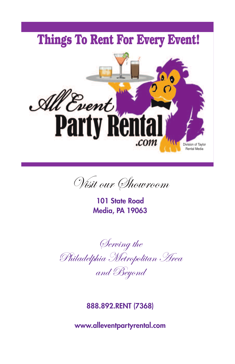

Visit our Showroom

**101 State Road Media, PA 19063**

Serving the Philadelphia Metropolitan Area and Beyond

**888.892.RENT (7368)**

**www.alleventpartyrental.com**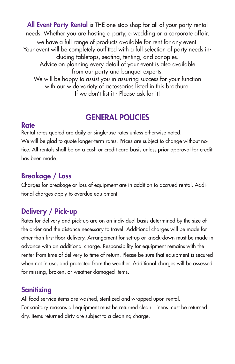**All Event Party Rental** is THE one-stop shop for all of your party rental needs. Whether you are hosting a party, a wedding or a corporate affair, we have a full range of products available for rent for any event. Your event will be completely outfitted with a full selection of party needs including tabletops, seating, tenting, and canopies. Advice on planning every detail of your event is also available from our party and banquet experts. We will be happy to assist you in assuring success for your function with our wide variety of accessories listed in this brochure. If we don't list it - Please ask for it!

# **GENERAL POLICIES**

#### **Rate**

Rental rates quoted are daily or single-use rates unless otherwise noted. We will be glad to quote longer-term rates. Prices are subject to change without notice. All rentals shall be on a cash or credit card basis unless prior approval for credit has been made.

# **Breakage / Loss**

Charges for breakage or loss of equipment are in addition to accrued rental. Additional charges apply to overdue equipment.

# **Delivery / Pick-up**

Rates for delivery and pick-up are on an individual basis determined by the size of the order and the distance necessary to travel. Additional charges will be made for other than first floor delivery. Arrangement for set-up or knock-down must be made in advance with an additional charge. Responsibility for equipment remains with the renter from time of delivery to time of return. Please be sure that equipment is secured when not in use, and protected from the weather. Additional charges will be assessed for missing, broken, or weather damaged items.

# **Sanitizing**

All food service items are washed, sterilized and wrapped upon rental. For sanitary reasons all equipment must be returned clean. Linens must be returned dry. Items returned dirty are subject to a cleaning charge.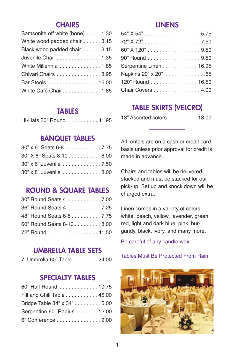### **CHAIRS**

| Samsonite off white (bone) 1.30 |
|---------------------------------|
| White wood padded chair 3.15    |
| Black wood padded chair 3.15    |
| Juvenile Chair 1.35             |
| White Millennia 1.85            |
| Chivari Chairs 8.95             |
| Bar Stools 16.00                |
| White Café Chair 1.85           |

#### **TABLES**

| Hi-Hats 30" Round. 11.95 |  |  |  |  |  |  |  |  |  |  |  |
|--------------------------|--|--|--|--|--|--|--|--|--|--|--|
|--------------------------|--|--|--|--|--|--|--|--|--|--|--|

## **BANQUET TABLES**

| $30"$ x 6" Seats 6-8 7.75 |  |
|---------------------------|--|
| 30" X 8" Seats 8-10 8.00  |  |
| 30" x 6" Juvenile 7.50    |  |
| 30" x 8" Juvenile 8.00    |  |

### **ROUND & SQUARE TABLES**

| 30" Round Seats 4  7.00   |  |
|---------------------------|--|
| 36" Round Seats 4  7.25   |  |
| 48" Round Seats 6-8 7.75  |  |
| 60" Round Seats 8-10 8.00 |  |
| 72" Round 11.50           |  |

#### **UMBRELLA TABLE SETS**

7' Umbrella 60" Table. . . . . . . . . 24.00

### **SPECIALTY TABLES**

| 60" Half Round 10.75         |  |
|------------------------------|--|
| Fill and Chill Table 45.00   |  |
| Bridge Table 34" x 34" 5.00  |  |
| Serpentine 60" Radius. 12.00 |  |
| 6" Conference 9.00           |  |

#### **LINENS**

| 60" X 120" 9.50        |
|------------------------|
| 90" Round 9.50         |
| Serpentine Linen 16.95 |
| Napkins 20" x 20" 65   |
| 120" Round 16.50       |
| Chair Covers 4.00      |

## **TABLE SKIRTS (VELCRO)**

| 13" Assorted colors 18.00 |  |  |
|---------------------------|--|--|
|                           |  |  |
|                           |  |  |

All rentals are on a cash or credit card basis unless prior approval for credit is made in advance.

Chairs and tables will be delivered stacked and must be stacked for our pick-up. Set up and knock down will be charged extra.

Linen comes in a variety of colors; white, peach, yellow, lavender, green, red, light and dark blue, pink, burgundy, black, ivory, and many more…

Be careful of any candle wax.

Tables Must Be Protected From Rain.

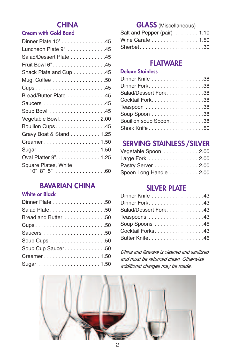# **CHINA**

#### **Cream with Gold Band**

| Dinner Plate 10' 45                                  |
|------------------------------------------------------|
| Luncheon Plate 9" 45                                 |
| Salad/Dessert Plate 45                               |
| Fruit Bowl 6" 45                                     |
| Snack Plate and Cup 45                               |
| Mug, Coffee $\dots\dots\dots\dots\dots\dots.50$      |
| Cups45                                               |
| Bread/Butter Plate 45                                |
| Saucers 45                                           |
| Soup Bowl 45                                         |
| Vegetable Bowl. $\ldots \ldots \ldots \ldots$ . 2.00 |
| Bouillon Cups 45                                     |
| Gravy Boat & Stand 1.25                              |
| Creamer 1.50                                         |
|                                                      |
| Oval Platter 9". 1.25                                |
| Square Plates, White<br>$10" 8" 5"  \t\t(60)$        |

# **BAVARIAN CHINA**

#### **White or Black**

| Dinner Plate 50     |
|---------------------|
| Salad Plate50       |
| Bread and Butter 50 |
| Cups50              |
|                     |
|                     |
| Soup Cup Saucer50   |
|                     |
|                     |

### **GLASS** (Miscellaneous)

| Salt and Pepper (pair) $\dots \dots 1.10$ |  |
|-------------------------------------------|--|
| Wine Carafe 1.50                          |  |
| Sherbet30                                 |  |

## **FLATWARE**

### **Deluxe Stainless**

| Dinner Knife 38         |  |
|-------------------------|--|
|                         |  |
| Salad/Dessert Fork. 38  |  |
| Cocktail Fork. 38       |  |
|                         |  |
|                         |  |
| Bouillon soup Spoon. 38 |  |
| Steak Knife50           |  |

# **SERVING STAINLESS /SILVER**

| Vegetable Spoon 2.00   |  |
|------------------------|--|
| Large Fork 2.00        |  |
| Pastry Server 2.00     |  |
| Spoon Long Handle 2.00 |  |

#### **SILVER PLATE**

| Dinner Knife 43      |
|----------------------|
|                      |
| Salad/Dessert Fork43 |
| Teaspoons 43         |
| Soup Spoons 45       |
| Cocktail Forks. 43   |
| Butter Knife46       |

*China and flatware is cleaned and sanitized and must be returned clean. Otherwise additional charges may be made.*

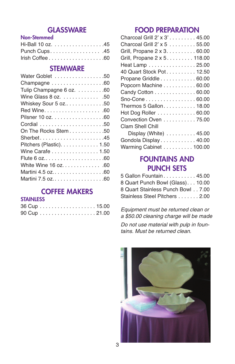### **GLASSWARE**

#### **Non-Stemmed**

| Hi-Ball 10 oz. 45 |  |
|-------------------|--|
| Punch Cups 45     |  |
|                   |  |

#### **STEMWARE**

# **COFFEE MAKERS**

#### **STAINLESS**

### **FOOD PREPARATION**

### **FOUNTAINS AND PUNCH SETS**

| 5 Gallon Fountain 45.00           |  |
|-----------------------------------|--|
| 8 Quart Punch Bowl (Glass) 10.00  |  |
| 8 Quart Stainless Punch Bowl 7.00 |  |
| Stainless Steel Pitchers 2.00     |  |

*Equipment must be returned clean or a \$50.00 cleaning charge will be made*

*Do not use material with pulp in fountains. Must be returned clean.*

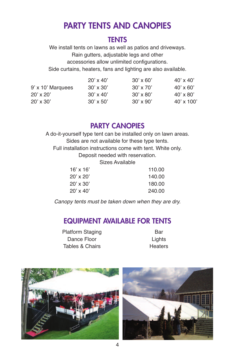# **PARTY TENTS AND CANOPIES**

### **TENTS**

We install tents on lawns as well as patios and driveways. Rain gutters, adjustable legs and other accessories allow unlimited configurations. Side curtains, heaters, fans and lighting are also available.

|                   | $20' \times 40'$ | $30' \times 60'$ | $40' \times 40'$  |
|-------------------|------------------|------------------|-------------------|
| 9' x 10' Marquees | $30' \times 30'$ | $30' \times 70'$ | $40' \times 60'$  |
| $20'$ x $20'$     | $30' \times 40'$ | $30' \times 80'$ | $40' \times 80'$  |
| $20' \times 30'$  | $30' \times 50'$ | $30' \times 90'$ | $40' \times 100'$ |

### **PARTY CANOPIES**

A do-it-yourself type tent can be installed only on lawn areas. Sides are not available for these type tents. Full installation instructions come with tent. White only. Deposit needed with reservation. Sizes Available

| $16' \times 16'$ | 110.00 |
|------------------|--------|
| $20'$ x $20'$    | 140.00 |
| $20' \times 30'$ | 180.00 |
| $20' \times 40'$ | 240.00 |

*Canopy tents must be taken down when they are dry.*

# **EQUIPMENT AVAILABLE FOR TENTS**

Platform Staging Bar Dance Floor Lights Tables & Chairs **Heaters** 



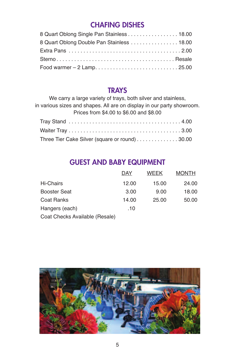# **CHAFING DISHES**

| 8 Quart Oblong Single Pan Stainless 18.00  |  |
|--------------------------------------------|--|
| 8 Quart Oblong Double Pan Stainless  18.00 |  |
|                                            |  |
|                                            |  |
|                                            |  |
|                                            |  |

### **TRAYS**

We carry a large variety of trays, both silver and stainless, in various sizes and shapes. All are on display in our party showroom. Prices from \$4.00 to \$6.00 and \$8.00

| Three Tier Cake Silver (square or round) 30.00 |  |
|------------------------------------------------|--|

# **GUEST AND BABY EQUIPMENT**

|                     | DAY   | <b>WEEK</b> | <b>MONTH</b> |
|---------------------|-------|-------------|--------------|
| Hi-Chairs           | 12.00 | 15.00       | 24.00        |
| <b>Booster Seat</b> | 3.00  | 9.00        | 18.00        |
| Coat Ranks          | 14.00 | 25.00       | 50.00        |
| Hangers (each)      | .10   |             |              |
|                     |       |             |              |

Coat Checks Available (Resale)

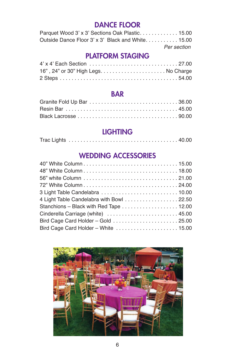# **DANCE FLOOR**

| Parquet Wood 3' x 3' Sections Oak Plastic 15.00   |             |
|---------------------------------------------------|-------------|
| Outside Dance Floor 3' x 3' Black and White 15.00 |             |
|                                                   | Per section |

# **PLATFORM STAGING**

# **BAR**

# **LIGHTING**

|--|--|--|

### **WEDDING ACCESSORIES**

| 4 Light Table Candelabra with Bowl 22.50 |  |
|------------------------------------------|--|
| Stanchions - Black with Red Tape 12.00   |  |
| Cinderella Carriage (white)  45.00       |  |
| Bird Cage Card Holder - Gold 25.00       |  |
| Bird Cage Card Holder - White  15.00     |  |
|                                          |  |

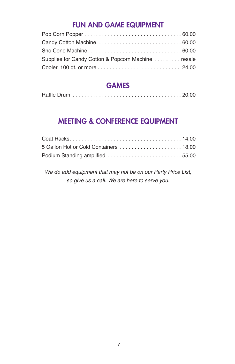## **FUN AND GAME EQUIPMENT**

| Supplies for Candy Cotton & Popcorn Machine  resale |  |
|-----------------------------------------------------|--|
|                                                     |  |
|                                                     |  |

# **GAMES**

|--|--|--|

## **MEETING & CONFERENCE EQUIPMENT**

| Podium Standing amplified 55.00 |  |
|---------------------------------|--|

*We do add equipment that may not be on our Party Price List, so give us a call. We are here to serve you.*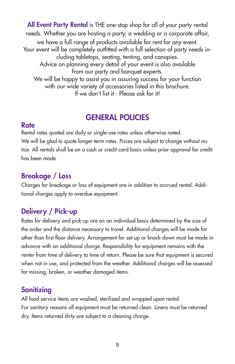**All Event Party Rental** is THE one-stop shop for all of your party rental needs. Whether you are hosting a party, a wedding or a corporate affair, we have a full range of products available for rent for any event. Your event will be completely outfitted with a full selection of party needs including tabletops, seating, tenting, and canopies. Advice on planning every detail of your event is also available from our party and banquet experts. We will be happy to assist you in assuring success for your function with our wide variety of accessories listed in this brochure. If we don't list it - Please ask for it!

# **GENERAL POLICIES**

#### **Rate**

Rental rates quoted are daily or single-use rates unless otherwise noted. We will be glad to quote longer-term rates. Prices are subject to change without notice. All rentals shall be on a cash or credit card basis unless prior approval for credit has been made.

# **Breakage / Loss**

Charges for breakage or loss of equipment are in addition to accrued rental. Additional charges apply to overdue equipment.

# **Delivery / Pick-up**

Rates for delivery and pick-up are on an individual basis determined by the size of the order and the distance necessary to travel. Additional charges will be made for other than first floor delivery. Arrangement for set-up or knock-down must be made in advance with an additional charge. Responsibility for equipment remains with the renter from time of delivery to time of return. Please be sure that equipment is secured when not in use, and protected from the weather. Additional charges will be assessed for missing, broken, or weather damaged items.

# **Sanitizing**

All food service items are washed, sterilized and wrapped upon rental. For sanitary reasons all equipment must be returned clean. Linens must be returned dry. Items returned dirty are subject to a cleaning charge.